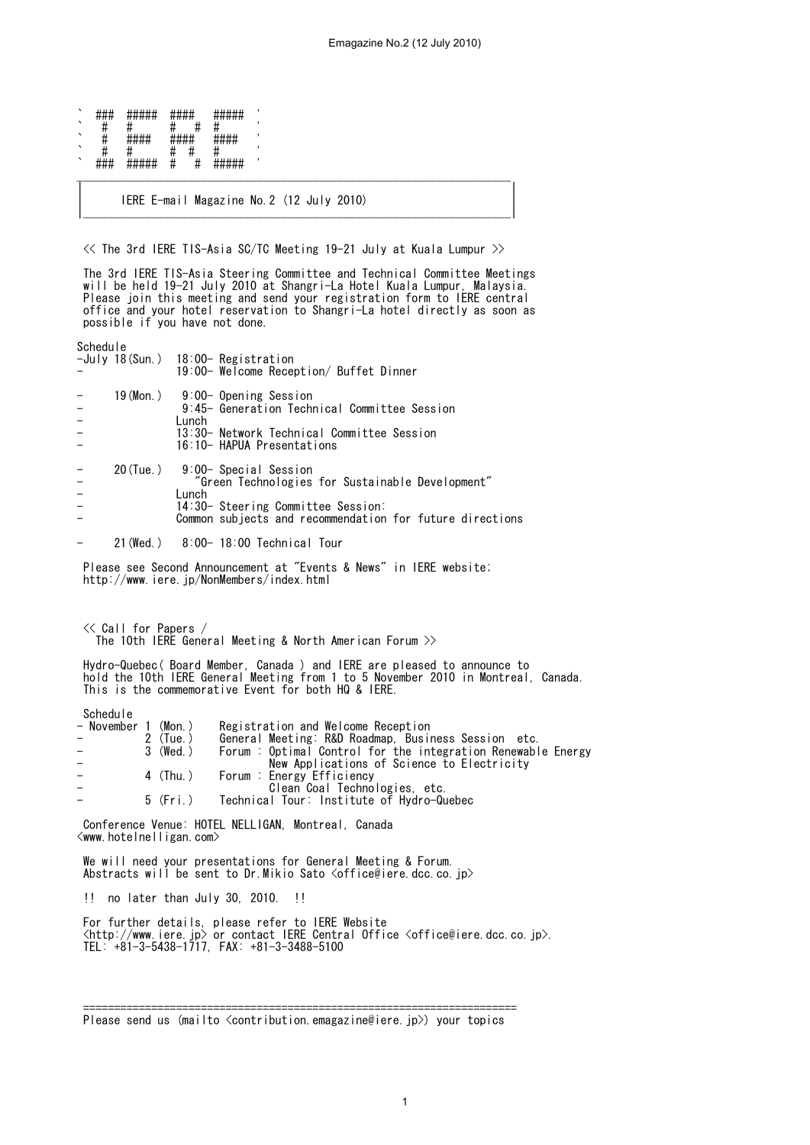| ヽ       | <br><del>.</del>     | #####                       | <del>*****</del> |   | ####                              |  |
|---------|----------------------|-----------------------------|------------------|---|-----------------------------------|--|
| `       | π                    |                             |                  |   |                                   |  |
| ╮       |                      | 1.11.11<br><del>*****</del> | ,,,,,,,,<br>ㅠㅠㅠㅠ |   | ,,,,,,,<br>1 11 T<br><del>.</del> |  |
| ╮       | π                    |                             |                  |   |                                   |  |
| $\cdot$ | யய<br><del>###</del> | #####                       | π                | π | шшшш<br>#####                     |  |

| IERE E-mail Magazine No.2 (12 July 2010) | |\_\_\_\_\_\_\_\_\_\_\_\_\_\_\_\_\_\_\_\_\_\_\_\_\_\_\_\_\_\_\_\_\_\_\_\_\_\_\_\_\_\_\_\_\_\_\_\_\_\_\_\_\_\_\_\_\_\_\_\_\_\_\_\_\_\_\_\_\_|

<< The 3rd IERE TIS-Asia SC/TC Meeting 19-21 July at Kuala Lumpur >>

| |

 The 3rd IERE TIS-Asia Steering Committee and Technical Committee Meetings will be held 19-21 July 2010 at Shangri-La Hotel Kuala Lumpur, Malaysia. Please join this meeting and send your registration form to IERE central office and your hotel reservation to Shangri-La hotel directly as soon as possible if you have not done.

Schedule

|                | -July 18(Sun.) 18:00- Registration<br>19:00- Welcome Reception/ Buffet Dinner                                                                                                                 |
|----------------|-----------------------------------------------------------------------------------------------------------------------------------------------------------------------------------------------|
| $\frac{1}{2}$  | 19 (Mon.) 9:00- Opening Session<br>9:45- Generation Technical Committee Session<br>Lunch<br>13:30- Network Technical Committee Session<br>16:10- HAPUA Presentations                          |
| $\overline{a}$ | 20(Tue.) 9:00- Special Session<br>"Green Technologies for Sustainable Development"<br>Lunch<br>14:30- Steering Committee Session:<br>Common subjects and recommendation for future directions |

- 21(Wed.) 8:00- 18:00 Technical Tour
- Please see Second Announcement at "Events & News" in IERE website; http://www.iere.jp/NonMembers/index.html

 << Call for Papers / The 10th IERE General Meeting & North American Forum  $\gg$ 

 Hydro-Quebec( Board Member, Canada ) and IERE are pleased to announce to hold the 10th IERE General Meeting from 1 to 5 November 2010 in Montreal, Canada. This is the commemorative Event for both HQ & IERE.

Schedule

|                          | - November 1 (Mon.) |            | Registration and Welcome Reception                           |
|--------------------------|---------------------|------------|--------------------------------------------------------------|
| – ∶                      |                     | $2$ (Tue.) | General Meeting: R&D Roadmap, Business Session etc.          |
| $\overline{\phantom{0}}$ |                     | 3 (Wed.)   | Forum : Optimal Control for the integration Renewable Energy |
|                          |                     |            | New Applications of Science to Electricity                   |
|                          |                     | 4 (Thu.)   | Forum : Energy Efficiency                                    |
|                          |                     |            | Clean Coal Technologies, etc.                                |
|                          |                     | $5$ (Fri.) | Technical Tour: Institute of Hydro-Quebec                    |
|                          |                     |            |                                                              |

 Conference Venue: HOTEL NELLIGAN, Montreal, Canada <www.hotelnelligan.com>

 We will need your presentations for General Meeting & Forum. Abstracts will be sent to Dr. Mikio Sato <office@iere.dcc.co.jp>

!! no later than July 30, 2010. !!

 For further details, please refer to IERE Website  $\langle$ http://www.iere.jp> or contact IERE Central Office  $\langle$ office@iere.dcc.co.jp>. TEL: +81-3-5438-1717, FAX: +81-3-3488-5100

 <sup>======================================================================</sup>  Please send us (mailto <contribution.emagazine@iere.jp>) your topics